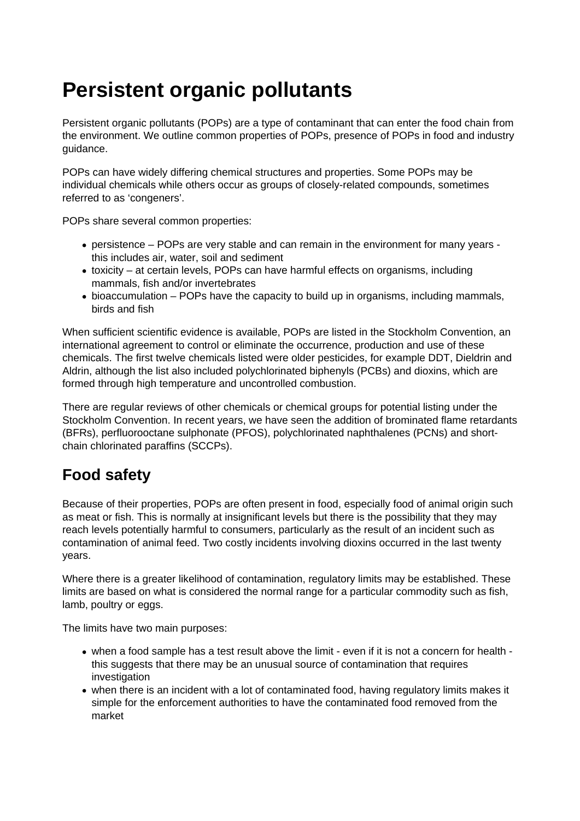## **Persistent organic pollutants**

Persistent organic pollutants (POPs) are a type of contaminant that can enter the food chain from the environment. We outline common properties of POPs, presence of POPs in food and industry guidance.

POPs can have widely differing chemical structures and properties. Some POPs may be individual chemicals while others occur as groups of closely-related compounds, sometimes referred to as 'congeners'.

POPs share several common properties:

- persistence POPs are very stable and can remain in the environment for many years this includes air, water, soil and sediment
- toxicity at certain levels, POPs can have harmful effects on organisms, including mammals, fish and/or invertebrates
- bioaccumulation POPs have the capacity to build up in organisms, including mammals, birds and fish

When sufficient scientific evidence is available, POPs are listed in the Stockholm Convention, an international agreement to control or eliminate the occurrence, production and use of these chemicals. The first twelve chemicals listed were older pesticides, for example DDT, Dieldrin and Aldrin, although the list also included polychlorinated biphenyls (PCBs) and dioxins, which are formed through high temperature and uncontrolled combustion.

There are regular reviews of other chemicals or chemical groups for potential listing under the Stockholm Convention. In recent years, we have seen the addition of brominated flame retardants (BFRs), perfluorooctane sulphonate (PFOS), polychlorinated naphthalenes (PCNs) and shortchain chlorinated paraffins (SCCPs).

## **Food safety**

Because of their properties, POPs are often present in food, especially food of animal origin such as meat or fish. This is normally at insignificant levels but there is the possibility that they may reach levels potentially harmful to consumers, particularly as the result of an incident such as contamination of animal feed. Two costly incidents involving dioxins occurred in the last twenty years.

Where there is a greater likelihood of contamination, regulatory limits may be established. These limits are based on what is considered the normal range for a particular commodity such as fish, lamb, poultry or eggs.

The limits have two main purposes:

- when a food sample has a test result above the limit even if it is not a concern for health this suggests that there may be an unusual source of contamination that requires investigation
- when there is an incident with a lot of contaminated food, having regulatory limits makes it simple for the enforcement authorities to have the contaminated food removed from the market